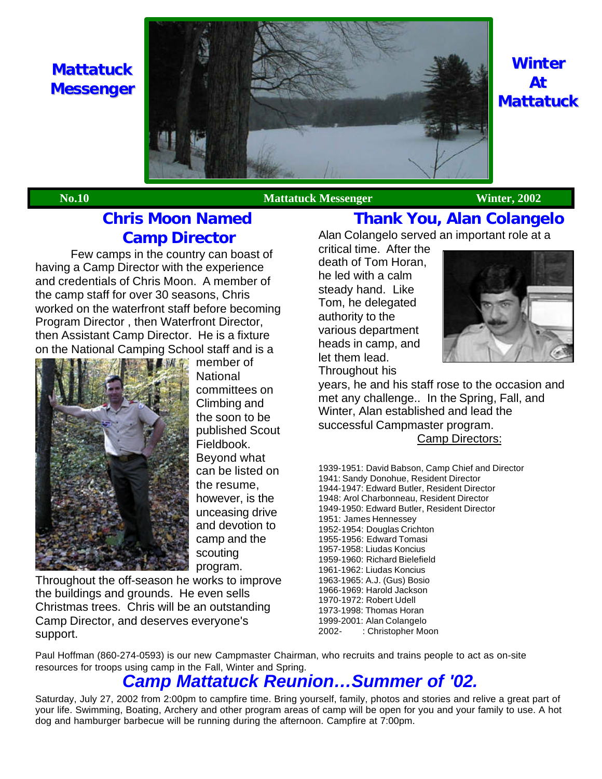**Mattatuck Messenger**



# **Winter At Mattatuck**

**No.10** Mattatuck Messenger Winter, 2002

# **Chris Moon Named Camp Director**

Few camps in the country can boast of having a Camp Director with the experience and credentials of Chris Moon. A member of the camp staff for over 30 seasons, Chris worked on the waterfront staff before becoming Program Director , then Waterfront Director, then Assistant Camp Director. He is a fixture on the National Camping School staff and is a



member of **National** committees on Climbing and the soon to be published Scout Fieldbook. Beyond what can be listed on the resume, however, is the unceasing drive and devotion to camp and the scouting program.

Throughout the off-season he works to improve the buildings and grounds. He even sells Christmas trees. Chris will be an outstanding Camp Director, and deserves everyone's support.

# **Thank You, Alan Colangelo**

Alan Colangelo served an important role at a

critical time. After the death of Tom Horan, he led with a calm steady hand. Like Tom, he delegated authority to the various department heads in camp, and let them lead. Throughout his



years, he and his staff rose to the occasion and met any challenge.. In the Spring, Fall, and Winter, Alan established and lead the successful Campmaster program. Camp Directors:

1939-1951: David Babson, Camp Chief and Director 1941: Sandy Donohue, Resident Director 1944-1947: Edward Butler, Resident Director 1948: Arol Charbonneau, Resident Director 1949-1950: Edward Butler, Resident Director 1951: James Hennessey 1952-1954: Douglas Crichton 1955-1956: Edward Tomasi 1957-1958: Liudas Koncius 1959-1960: Richard Bielefield 1961-1962: Liudas Koncius 1963-1965: A.J. (Gus) Bosio 1966-1969: Harold Jackson 1970-1972: Robert Udell 1973-1998: Thomas Horan 1999-2001: Alan Colangelo 2002- : Christopher Moon

Paul Hoffman (860-274-0593) is our new Campmaster Chairman, who recruits and trains people to act as on-site resources for troops using camp in the Fall, Winter and Spring.

# *Camp Mattatuck Reunion…Summer of '02.*

Saturday, July 27, 2002 from 2:00pm to campfire time. Bring yourself, family, photos and stories and relive a great part of your life. Swimming, Boating, Archery and other program areas of camp will be open for you and your family to use. A hot dog and hamburger barbecue will be running during the afternoon. Campfire at 7:00pm.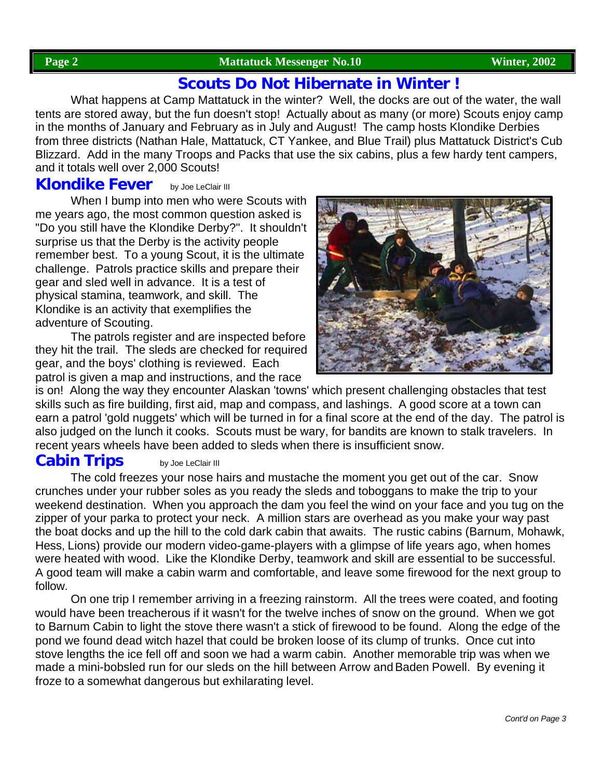### **Page 2 Mattatuck Messenger No.10 Winter, 2002**

## **Scouts Do Not Hibernate in Winter !**

What happens at Camp Mattatuck in the winter? Well, the docks are out of the water, the wall tents are stored away, but the fun doesn't stop! Actually about as many (or more) Scouts enjoy camp in the months of January and February as in July and August! The camp hosts Klondike Derbies from three districts (Nathan Hale, Mattatuck, CT Yankee, and Blue Trail) plus Mattatuck District's Cub Blizzard. Add in the many Troops and Packs that use the six cabins, plus a few hardy tent campers, and it totals well over 2,000 Scouts!

# **Klondike Fever** by Joe LeClair III

When I bump into men who were Scouts with me years ago, the most common question asked is "Do you still have the Klondike Derby?". It shouldn't surprise us that the Derby is the activity people remember best. To a young Scout, it is the ultimate challenge. Patrols practice skills and prepare their gear and sled well in advance. It is a test of physical stamina, teamwork, and skill. The Klondike is an activity that exemplifies the adventure of Scouting.

The patrols register and are inspected before they hit the trail. The sleds are checked for required gear, and the boys' clothing is reviewed. Each patrol is given a map and instructions, and the race



is on! Along the way they encounter Alaskan 'towns' which present challenging obstacles that test skills such as fire building, first aid, map and compass, and lashings. A good score at a town can earn a patrol 'gold nuggets' which will be turned in for a final score at the end of the day. The patrol is also judged on the lunch it cooks. Scouts must be wary, for bandits are known to stalk travelers. In recent years wheels have been added to sleds when there is insufficient snow.

# **Cabin Trips** by Joe LeClair III

The cold freezes your nose hairs and mustache the moment you get out of the car. Snow crunches under your rubber soles as you ready the sleds and toboggans to make the trip to your weekend destination. When you approach the dam you feel the wind on your face and you tug on the zipper of your parka to protect your neck. A million stars are overhead as you make your way past the boat docks and up the hill to the cold dark cabin that awaits. The rustic cabins (Barnum, Mohawk, Hess, Lions) provide our modern video-game-players with a glimpse of life years ago, when homes were heated with wood. Like the Klondike Derby, teamwork and skill are essential to be successful. A good team will make a cabin warm and comfortable, and leave some firewood for the next group to follow.

On one trip I remember arriving in a freezing rainstorm. All the trees were coated, and footing would have been treacherous if it wasn't for the twelve inches of snow on the ground. When we got to Barnum Cabin to light the stove there wasn't a stick of firewood to be found. Along the edge of the pond we found dead witch hazel that could be broken loose of its clump of trunks. Once cut into stove lengths the ice fell off and soon we had a warm cabin. Another memorable trip was when we made a mini-bobsled run for our sleds on the hill between Arrow and Baden Powell. By evening it froze to a somewhat dangerous but exhilarating level.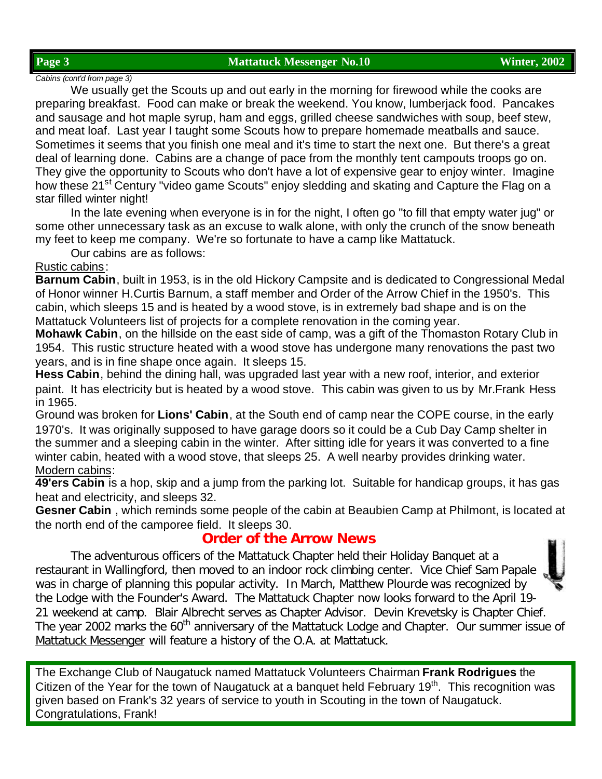#### **Page 3 Mattatuck Messenger No.10 Winter, 2002**

### *Cabins (cont'd from page 3)*

We usually get the Scouts up and out early in the morning for firewood while the cooks are preparing breakfast. Food can make or break the weekend. You know, lumberjack food. Pancakes and sausage and hot maple syrup, ham and eggs, grilled cheese sandwiches with soup, beef stew, and meat loaf. Last year I taught some Scouts how to prepare homemade meatballs and sauce. Sometimes it seems that you finish one meal and it's time to start the next one. But there's a great deal of learning done. Cabins are a change of pace from the monthly tent campouts troops go on. They give the opportunity to Scouts who don't have a lot of expensive gear to enjoy winter. Imagine how these 21<sup>st</sup> Century "video game Scouts" enjoy sledding and skating and Capture the Flag on a star filled winter night!

In the late evening when everyone is in for the night, I often go "to fill that empty water jug" or some other unnecessary task as an excuse to walk alone, with only the crunch of the snow beneath my feet to keep me company. We're so fortunate to have a camp like Mattatuck.

Our cabins are as follows:

### Rustic cabins:

**Barnum Cabin**, built in 1953, is in the old Hickory Campsite and is dedicated to Congressional Medal of Honor winner H.Curtis Barnum, a staff member and Order of the Arrow Chief in the 1950's. This cabin, which sleeps 15 and is heated by a wood stove, is in extremely bad shape and is on the Mattatuck Volunteers list of projects for a complete renovation in the coming year.

**Mohawk Cabin**, on the hillside on the east side of camp, was a gift of the Thomaston Rotary Club in 1954. This rustic structure heated with a wood stove has undergone many renovations the past two years, and is in fine shape once again. It sleeps 15.

**Hess Cabin**, behind the dining hall, was upgraded last year with a new roof, interior, and exterior paint. It has electricity but is heated by a wood stove. This cabin was given to us by Mr.Frank Hess in 1965.

Ground was broken for **Lions' Cabin**, at the South end of camp near the COPE course, in the early 1970's. It was originally supposed to have garage doors so it could be a Cub Day Camp shelter in the summer and a sleeping cabin in the winter. After sitting idle for years it was converted to a fine winter cabin, heated with a wood stove, that sleeps 25. A well nearby provides drinking water. Modern cabins:

**49'ers Cabin** is a hop, skip and a jump from the parking lot. Suitable for handicap groups, it has gas heat and electricity, and sleeps 32.

**Gesner Cabin** , which reminds some people of the cabin at Beaubien Camp at Philmont, is located at the north end of the camporee field. It sleeps 30.

## **Order of the Arrow News**

The adventurous officers of the Mattatuck Chapter held their Holiday Banquet at a restaurant in Wallingford, then moved to an indoor rock climbing center. Vice Chief Sam Papale was in charge of planning this popular activity. In March, Matthew Plourde was recognized by the Lodge with the Founder's Award. The Mattatuck Chapter now looks forward to the April 19- 21 weekend at camp. Blair Albrecht serves as Chapter Advisor. Devin Krevetsky is Chapter Chief. The year 2002 marks the 60<sup>th</sup> anniversary of the Mattatuck Lodge and Chapter. Our summer issue of *Mattatuck Messenger* will feature a history of the O.A. at Mattatuck.

The Exchange Club of Naugatuck named Mattatuck Volunteers Chairman **Frank Rodrigues** the Citizen of the Year for the town of Naugatuck at a banquet held February 19<sup>th</sup>. This recognition was given based on Frank's 32 years of service to youth in Scouting in the town of Naugatuck. Congratulations, Frank!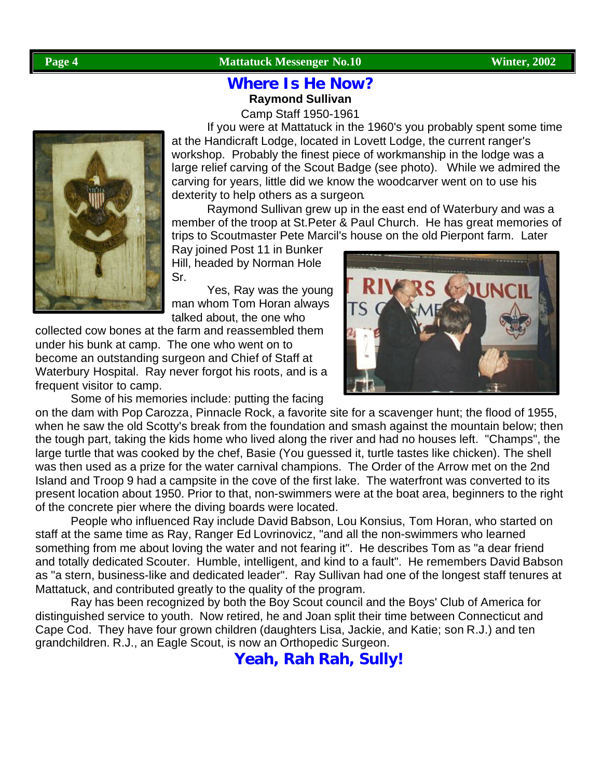### **Page 4** Mattatuck Messenger No.10 Winter, 2002

## **Where Is He Now? Raymond Sullivan**

Camp Staff 1950-1961

If you were at Mattatuck in the 1960's you probably spent some time at the Handicraft Lodge, located in Lovett Lodge, the current ranger's workshop. Probably the finest piece of workmanship in the lodge was a large relief carving of the Scout Badge (see photo). While we admired the carving for years, little did we know the woodcarver went on to use his dexterity to help others as a surgeon.

Raymond Sullivan grew up in the east end of Waterbury and was a member of the troop at St.Peter & Paul Church. He has great memories of trips to Scoutmaster Pete Marcil's house on the old Pierpont farm. Later

Ray joined Post 11 in Bunker Hill, headed by Norman Hole Sr.

Yes, Ray was the young man whom Tom Horan always talked about, the one who

collected cow bones at the farm and reassembled them under his bunk at camp. The one who went on to become an outstanding surgeon and Chief of Staff at Waterbury Hospital. Ray never forgot his roots, and is a frequent visitor to camp.

Some of his memories include: putting the facing

on the dam with Pop Carozza, Pinnacle Rock, a favorite site for a scavenger hunt; the flood of 1955, when he saw the old Scotty's break from the foundation and smash against the mountain below; then the tough part, taking the kids home who lived along the river and had no houses left. "Champs", the large turtle that was cooked by the chef, Basie (You guessed it, turtle tastes like chicken). The shell was then used as a prize for the water carnival champions. The Order of the Arrow met on the 2nd Island and Troop 9 had a campsite in the cove of the first lake. The waterfront was converted to its present location about 1950. Prior to that, non-swimmers were at the boat area, beginners to the right of the concrete pier where the diving boards were located.

People who influenced Ray include David Babson, Lou Konsius, Tom Horan, who started on staff at the same time as Ray, Ranger Ed Lovrinovicz, "and all the non-swimmers who learned something from me about loving the water and not fearing it". He describes Tom as "a dear friend and totally dedicated Scouter. Humble, intelligent, and kind to a fault". He remembers David Babson as "a stern, business-like and dedicated leader". Ray Sullivan had one of the longest staff tenures at Mattatuck, and contributed greatly to the quality of the program.

Ray has been recognized by both the Boy Scout council and the Boys' Club of America for distinguished service to youth. Now retired, he and Joan split their time between Connecticut and Cape Cod. They have four grown children (daughters Lisa, Jackie, and Katie; son R.J.) and ten grandchildren. R.J., an Eagle Scout, is now an Orthopedic Surgeon.

**Yeah, Rah Rah, Sully!**

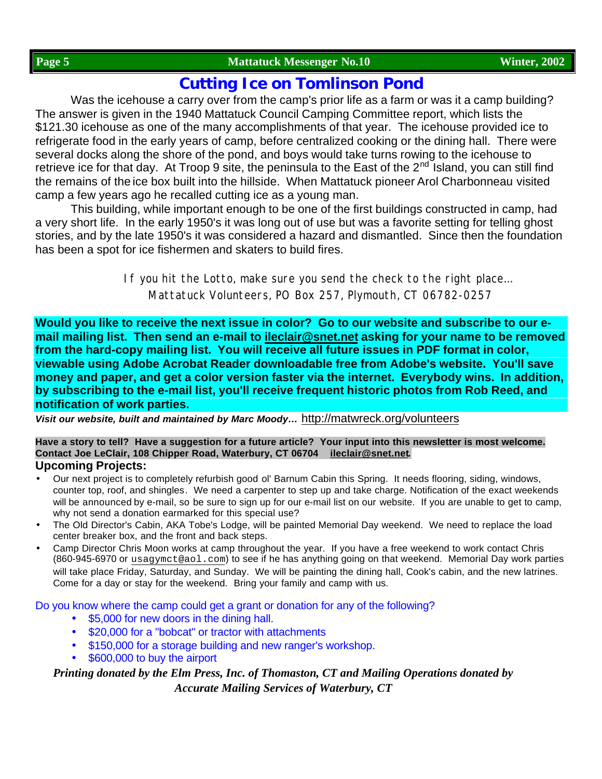## **Cutting Ice on Tomlinson Pond**

Was the icehouse a carry over from the camp's prior life as a farm or was it a camp building? The answer is given in the 1940 Mattatuck Council Camping Committee report, which lists the \$121.30 icehouse as one of the many accomplishments of that year. The icehouse provided ice to refrigerate food in the early years of camp, before centralized cooking or the dining hall. There were several docks along the shore of the pond, and boys would take turns rowing to the icehouse to retrieve ice for that day. At Troop 9 site, the peninsula to the East of the  $2<sup>nd</sup>$  Island, you can still find the remains of the ice box built into the hillside. When Mattatuck pioneer Arol Charbonneau visited camp a few years ago he recalled cutting ice as a young man.

This building, while important enough to be one of the first buildings constructed in camp, had a very short life. In the early 1950's it was long out of use but was a favorite setting for telling ghost stories, and by the late 1950's it was considered a hazard and dismantled. Since then the foundation has been a spot for ice fishermen and skaters to build fires.

> If you hit the Lotto, make sure you send the check to the right place… Mattatuck Volunteers, PO Box 257, Plymouth, CT 06782-0257

**Would you like to receive the next issue in color? Go to our website and subscribe to our email mailing list. Then send an e-mail to ileclair@snet.net asking for your name to be removed from the hard-copy mailing list. You will receive all future issues in PDF format in color, viewable using Adobe Acrobat Reader downloadable free from Adobe's website. You'll save money and paper, and get a color version faster via the internet. Everybody wins. In addition, by subscribing to the e-mail list, you'll receive frequent historic photos from Rob Reed, and notification of work parties.**

*Visit our website, built and maintained by Marc Moody…* http://matwreck.org/volunteers

#### **Have a story to tell? Have a suggestion for a future article? Your input into this newsletter is most welcome. Contact Joe LeClair, 108 Chipper Road, Waterbury, CT 06704 ileclair@snet.net***.* **Upcoming Projects:**

- Our next project is to completely refurbish good ol' Barnum Cabin this Spring. It needs flooring, siding, windows, counter top, roof, and shingles. We need a carpenter to step up and take charge. Notification of the exact weekends will be announced by e-mail, so be sure to sign up for our e-mail list on our website. If you are unable to get to camp, why not send a donation earmarked for this special use?
- The Old Director's Cabin, AKA Tobe's Lodge, will be painted Memorial Day weekend. We need to replace the load center breaker box, and the front and back steps.
- Camp Director Chris Moon works at camp throughout the year. If you have a free weekend to work contact Chris (860-945-6970 or usagymct@aol.com) to see if he has anything going on that weekend. Memorial Day work parties will take place Friday, Saturday, and Sunday. We will be painting the dining hall, Cook's cabin, and the new latrines. Come for a day or stay for the weekend. Bring your family and camp with us.

Do you know where the camp could get a grant or donation for any of the following?

- \$5,000 for new doors in the dining hall.
- \$20,000 for a "bobcat" or tractor with attachments
- \$150,000 for a storage building and new ranger's workshop.
- \$600,000 to buy the airport

*Printing donated by the Elm Press, Inc. of Thomaston, CT and Mailing Operations donated by Accurate Mailing Services of Waterbury, CT*